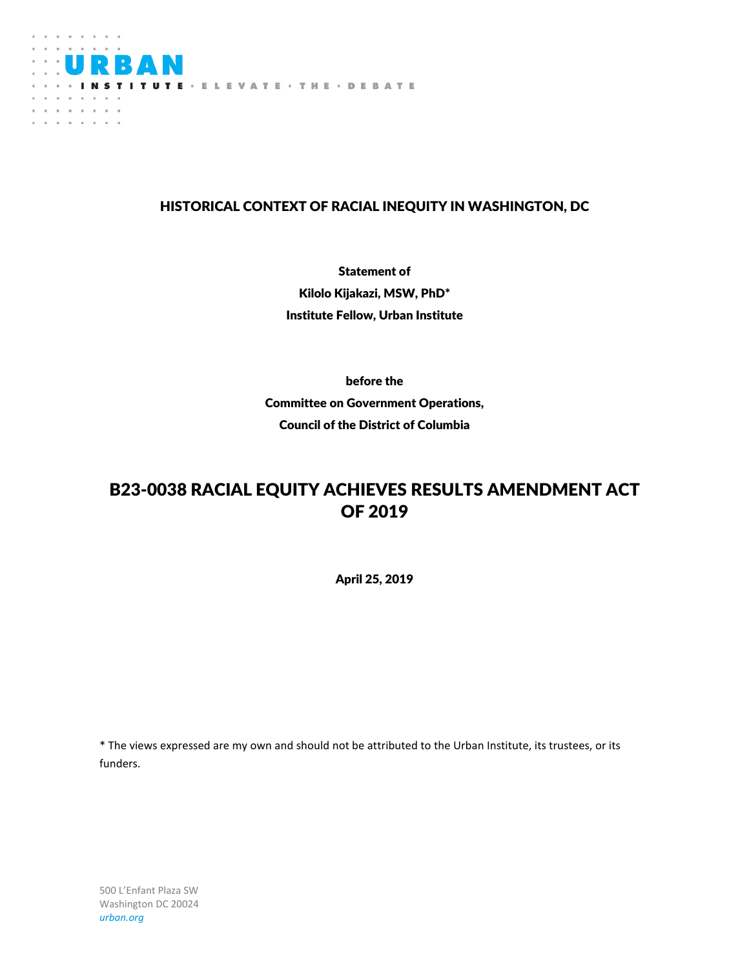

## HISTORICAL CONTEXT OF RACIAL INEQUITY IN WASHINGTON, DC

Statement of Kilolo Kijakazi, MSW, PhD\* Institute Fellow, Urban Institute

before the Committee on Government Operations, Council of the District of Columbia

## B23-0038 RACIAL EQUITY ACHIEVES RESULTS AMENDMENT ACT OF 2019

April 25, 2019

\* The views expressed are my own and should not be attributed to the Urban Institute, its trustees, or its funders.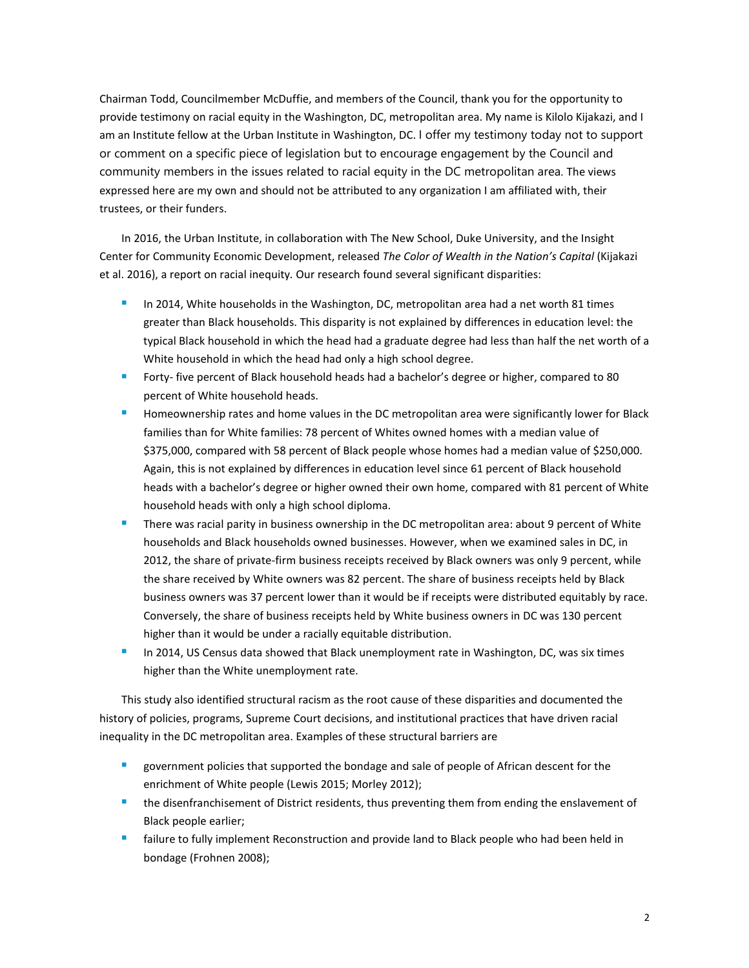Chairman Todd, Councilmember McDuffie, and members of the Council, thank you for the opportunity to provide testimony on racial equity in the Washington, DC, metropolitan area. My name is Kilolo Kijakazi, and I am an Institute fellow at the Urban Institute in Washington, DC. I offer my testimony today not to support or comment on a specific piece of legislation but to encourage engagement by the Council and community members in the issues related to racial equity in the DC metropolitan area. The views expressed here are my own and should not be attributed to any organization I am affiliated with, their trustees, or their funders.

In 2016, the Urban Institute, in collaboration with The New School, Duke University, and the Insight Center for Community Economic Development, released *The Color of Wealth in the Nation's Capital* (Kijakazi et al. 2016), a report on racial inequity*.* Our research found several significant disparities:

- In 2014, White households in the Washington, DC, metropolitan area had a net worth 81 times greater than Black households. This disparity is not explained by differences in education level: the typical Black household in which the head had a graduate degree had less than half the net worth of a White household in which the head had only a high school degree.
- Forty- five percent of Black household heads had a bachelor's degree or higher, compared to 80 percent of White household heads.
- Homeownership rates and home values in the DC metropolitan area were significantly lower for Black families than for White families: 78 percent of Whites owned homes with a median value of \$375,000, compared with 58 percent of Black people whose homes had a median value of \$250,000. Again, this is not explained by differences in education level since 61 percent of Black household heads with a bachelor's degree or higher owned their own home, compared with 81 percent of White household heads with only a high school diploma.
- There was racial parity in business ownership in the DC metropolitan area: about 9 percent of White households and Black households owned businesses. However, when we examined sales in DC, in 2012, the share of private-firm business receipts received by Black owners was only 9 percent, while the share received by White owners was 82 percent. The share of business receipts held by Black business owners was 37 percent lower than it would be if receipts were distributed equitably by race. Conversely, the share of business receipts held by White business owners in DC was 130 percent higher than it would be under a racially equitable distribution.
- In 2014, US Census data showed that Black unemployment rate in Washington, DC, was six times higher than the White unemployment rate.

This study also identified structural racism as the root cause of these disparities and documented the history of policies, programs, Supreme Court decisions, and institutional practices that have driven racial inequality in the DC metropolitan area. Examples of these structural barriers are

- government policies that supported the bondage and sale of people of African descent for the enrichment of White people (Lewis 2015; Morley 2012);
- **the disenfranchisement of District residents, thus preventing them from ending the enslavement of** Black people earlier;
- failure to fully implement Reconstruction and provide land to Black people who had been held in bondage (Frohnen 2008);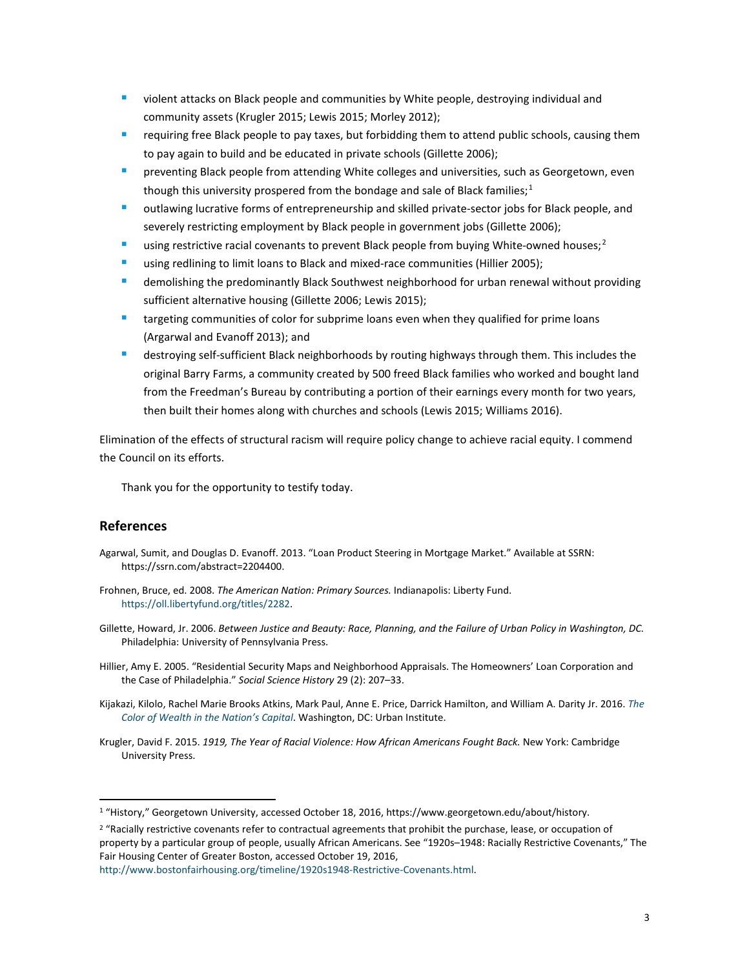- **•** violent attacks on Black people and communities by White people, destroying individual and community assets (Krugler 2015; Lewis 2015; Morley 2012);
- requiring free Black people to pay taxes, but forbidding them to attend public schools, causing them to pay again to build and be educated in private schools (Gillette 2006);
- preventing Black people from attending White colleges and universities, such as Georgetown, even though this university prospered from the bondage and sale of Black families;<sup>[1](#page-2-0)</sup>
- outlawing lucrative forms of entrepreneurship and skilled private-sector jobs for Black people, and severely restricting employment by Black people in government jobs (Gillette 2006);
- using restrictive racial covenants to prevent Black people from buying White-owned houses;<sup>[2](#page-2-1)</sup>
- using redlining to limit loans to Black and mixed-race communities (Hillier 2005);
- demolishing the predominantly Black Southwest neighborhood for urban renewal without providing sufficient alternative housing (Gillette 2006; Lewis 2015);
- targeting communities of color for subprime loans even when they qualified for prime loans (Argarwal and Evanoff 2013); and
- destroying self-sufficient Black neighborhoods by routing highways through them. This includes the original Barry Farms, a community created by 500 freed Black families who worked and bought land from the Freedman's Bureau by contributing a portion of their earnings every month for two years, then built their homes along with churches and schools (Lewis 2015; Williams 2016).

Elimination of the effects of structural racism will require policy change to achieve racial equity. I commend the Council on its efforts.

Thank you for the opportunity to testify today.

## **References**

- Agarwal, Sumit, and Douglas D. Evanoff. 2013. "Loan Product Steering in Mortgage Market." Available at SSRN: https://ssrn.com/abstract=2204400.
- Frohnen, Bruce, ed. 2008. *The American Nation: Primary Sources.* Indianapolis: Liberty Fund. [https://oll.libertyfund.org/titles/2282.](https://oll.libertyfund.org/titles/2282)
- Gillette, Howard, Jr. 2006. *Between Justice and Beauty: Race, Planning, and the Failure of Urban Policy in Washington, DC.*  Philadelphia: University of Pennsylvania Press.
- Hillier, Amy E. 2005. "Residential Security Maps and Neighborhood Appraisals. The Homeowners' Loan Corporation and the Case of Philadelphia." *Social Science History* 29 (2): 207–33.
- Kijakazi, Kilolo, Rachel Marie Brooks Atkins, Mark Paul, Anne E. Price, Darrick Hamilton, and William A. Darity Jr. 2016. *[The](https://www.urban.org/research/publication/color-wealth-nations-capital)  [Color of Wealth in the Nation's Capital](https://www.urban.org/research/publication/color-wealth-nations-capital)*. Washington, DC: Urban Institute.
- Krugler, David F. 2015. *1919, The Year of Racial Violence: How African Americans Fought Back.* New York: Cambridge University Press.

<span id="page-2-0"></span> <sup>1</sup> "History," Georgetown University, accessed October 18, 2016, https://www.georgetown.edu/about/history.

<span id="page-2-1"></span><sup>&</sup>lt;sup>2</sup> "Racially restrictive covenants refer to contractual agreements that prohibit the purchase, lease, or occupation of property by a particular group of people, usually African Americans. See "1920s–1948: Racially Restrictive Covenants," The Fair Housing Center of Greater Boston, accessed October 19, 2016,

[http://www.bostonfairhousing.org/timeline/1920s1948-Restrictive-Covenants.html.](http://www.bostonfairhousing.org/timeline/1920s1948-Restrictive-Covenants.html)